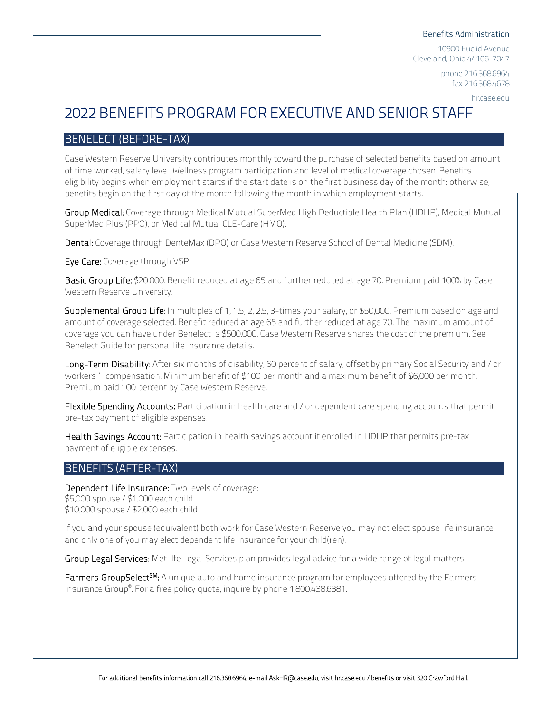#### Benefits Administration

10900 Euclid Avenue Cleveland, Ohio 44106-7047

> phone 216.368.6964 fax 216.368.4678

> > hr.case.edu

# 2022 BENEFITS PROGRAM FOR EXECUTIVE AND SENIOR STAFF

# BENELECT (BEFORE-TAX)

Case Western Reserve University contributes monthly toward the purchase of selected benefits based on amount of time worked, salary level, Wellness program participation and level of medical coverage chosen. Benefits eligibility begins when employment starts if the start date is on the first business day of the month; otherwise, benefits begin on the first day of the month following the month in which employment starts.

Group Medical: Coverage through Medical Mutual SuperMed High Deductible Health Plan (HDHP), Medical Mutual SuperMed Plus (PPO), or Medical Mutual CLE-Care (HMO).

Dental: Coverage through DenteMax (DPO) or Case Western Reserve School of Dental Medicine (SDM).

Eye Care: Coverage through VSP.

Basic Group Life: \$20,000. Benefit reduced at age 65 and further reduced at age 70. Premium paid 100% by Case Western Reserve University.

Supplemental Group Life: In multiples of 1, 1.5, 2, 2.5, 3-times your salary, or \$50,000. Premium based on age and amount of coverage selected. Benefit reduced at age 65 and further reduced at age 70. The maximum amount of coverage you can have under Benelect is \$500,000. Case Western Reserve shares the cost of the premium. See Benelect Guide for personal life insurance details.

Long-Term Disability: After six months of disability, 60 percent of salary, offset by primary Social Security and / or workers' compensation. Minimum benefit of \$100 per month and a maximum benefit of \$6,000 per month. Premium paid 100 percent by Case Western Reserve.

Flexible Spending Accounts: Participation in health care and / or dependent care spending accounts that permit pre-tax payment of eligible expenses.

Health Savings Account: Participation in health savings account if enrolled in HDHP that permits pre-tax payment of eligible expenses.

# BENEFITS (AFTER-TAX)

Dependent Life Insurance: Two levels of coverage: \$5,000 spouse/\$1,000 each child \$10,000 spouse/\$2,000 each child

If you and your spouse (equivalent) both work for Case Western Reserve you may not elect spouse life insurance and only one of you may elect dependent life insurance for your child(ren).

Group Legal Services: MetLIfe Legal Services plan provides legal advice for a wide range of legal matters.

Farmers GroupSelect<sup>SM</sup>: A unique auto and home insurance program for employees offered by the Farmers Insurance Group® . For a free policy quote, inquire by phone 1.800.438.6381.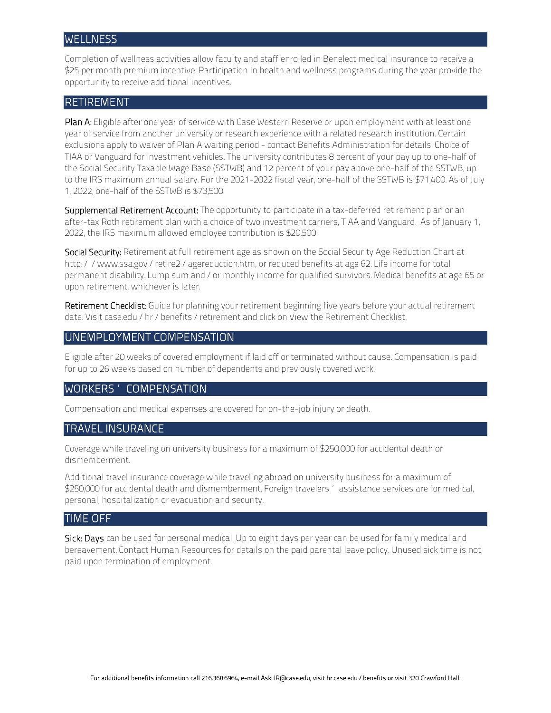#### **WELLNESS**

Completion of wellness activities allow faculty and staff enrolled in Benelect medical insurance to receive a \$25 per month premium incentive. Participation in health and wellness programs during the year provide the opportunity to receive additional incentives.

### RETIREMENT

Plan A: Eligible after one year of service with Case Western Reserve or upon employment with at least one year of service from another university or research experience with a related research institution. Certain exclusions apply to waiver of Plan A waiting period - contact Benefits Administration for details. Choice of TIAA or Vanguard for investment vehicles. The university contributes 8 percent of your pay up to one-half of the Social Security Taxable Wage Base (SSTWB) and 12 percent of your pay above one-half of the SSTWB, up to the IRS maximum annual salary. For the 2021-2022 fiscal year, one-half of the SSTWB is \$71,400. As of July 1, 2022, one-half of the SSTWB is \$73,500.

Supplemental Retirement Account: The opportunity to participate in a tax-deferred retirement plan or an after-tax Roth retirement plan with a choice of two investment carriers, TIAA and Vanguard. As of January 1, 2022, the IRS maximum allowed employee contribution is \$20,500.

Social Security: Retirement at full retirement age as shown on the Social Security Age Reduction Chart at http://www.ssa.gov/retire2/agereduction.htm, or reduced benefits at age 62. Life income for total permanent disability. Lump sum and / or monthly income for qualified survivors. Medical benefits at age 65 or upon retirement, whichever is later.

Retirement Checklist: Guide for planning your retirement beginning five years before your actual retirement date. Visit case.edu/hr/benefits/retirement and click on View the Retirement Checklist.

# UNEMPLOYMENT COMPENSATION

Eligible after 20 weeks of covered employment if laid off or terminated without cause. Compensation is paid for up to 26 weeks based on number of dependents and previously covered work.

#### WORKERS' COMPENSATION

Compensation and medical expenses are covered for on-the-job injury or death.

#### TRAVEL INSURANCE

Coverage while traveling on university business for a maximum of \$250,000 for accidental death or dismemberment.

Additional travel insurance coverage while traveling abroad on university business for a maximum of \$250,000 for accidental death and dismemberment. Foreign travelers' assistance services are for medical, personal, hospitalization or evacuation and security.

#### TIME OFF

Sick: Days can be used for personal medical. Up to eight days per year can be used for family medical and bereavement. Contact Human Resources for details on the paid parental leave policy. Unused sick time is not paid upon termination of employment.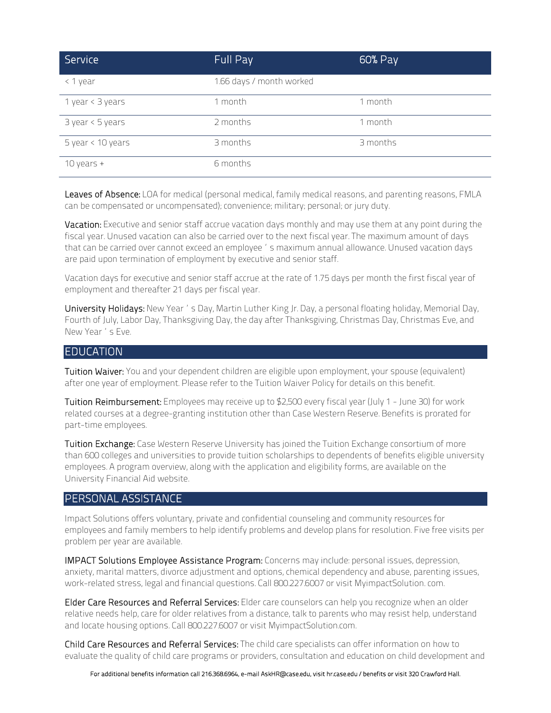| Service            | Full Pay                 | 60% Pay  |
|--------------------|--------------------------|----------|
| $\leq 1$<br>year   | 1.66 days / month worked |          |
| 1 year < 3 years   | 1 month                  | 1 month  |
| $3$ year < 5 years | 2 months                 | 1 month  |
| 5 year < 10 years  | 3 months                 | 3 months |
| 10 years $+$       | 6 months                 |          |

Leaves of Absence: LOA for medical (personal medical, family medical reasons, and parenting reasons, FMLA can be compensated or uncompensated); convenience; military; personal; or jury duty.

Vacation: Executive and senior staff accrue vacation days monthly and may use them at any point during the fiscal year. Unused vacation can also be carried over to the next fiscal year. The maximum amount of days that can be carried over cannot exceed an employee 's maximum annual allowance. Unused vacation days are paid upon termination of employment by executive and senior staff.

Vacation days for executive and senior staff accrue at the rate of 1.75 days per month the first fiscal year of employment and thereafter 21 days per fiscal year.

University Holidays: New Year's Day, Martin Luther King Jr. Day, a personal floating holiday, Memorial Day, Fourth of July, Labor Day, Thanksgiving Day, the day after Thanksgiving, Christmas Day, Christmas Eve, and New Year's Eve.

#### **EDUCATION**

Tuition Waiver: You and your dependent children are eligible upon employment, your spouse (equivalent) after one year of employment. Please refer to the Tuition Waiver Policy for details on this benefit.

Tuition Reimbursement: Employees may receive up to \$2,500 every fiscal year (July 1 - June 30) for work related courses at a degree-granting institution other than Case Western Reserve. Benefits is prorated for part-time employees.

Tuition Exchange: Case Western Reserve University has joined the Tuition Exchange consortium of more than 600 colleges and universities to provide tuition scholarships to dependents of benefits eligible university employees. A program overview, along with the application and eligibility forms, are available on the University Financial Aid website.

#### PERSONAL ASSISTANCE

Impact Solutions offers voluntary, private and confidential counseling and community resources for employees and family members to help identify problems and develop plans for resolution. Five free visits per problem per year are available.

IMPACT Solutions Employee Assistance Program: Concerns may include: personal issues, depression, anxiety, marital matters, divorce adjustment and options, chemical dependency and abuse, parenting issues, work-related stress, legal and financial questions. Call 800.227.6007 or visit MyimpactSolution. com.

Elder Care Resources and Referral Services: Elder care counselors can help you recognize when an older relative needs help, care for older relatives from a distance, talk to parents who may resist help, understand and locate housing options. Call 800.227.6007 or visit MyimpactSolution.com.

Child Care Resources and Referral Services: The child care specialists can offer information on how to evaluate the quality of child care programs or providers, consultation and education on child development and

For additional benefits information call 216.368.6964, e-mail AskHR@case.edu, visit hr.case.edu / benefits or visit 320 Crawford Hall.